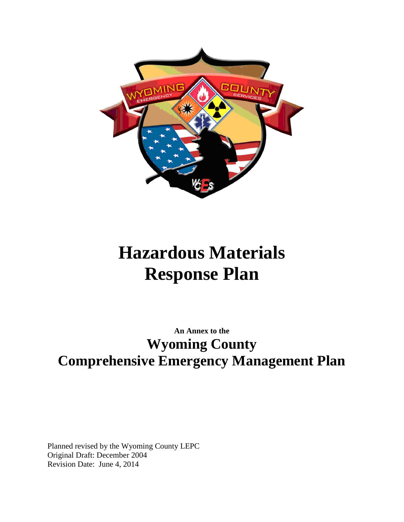

# **Hazardous Materials Response Plan**

# **An Annex to the Wyoming County Comprehensive Emergency Management Plan**

Planned revised by the Wyoming County LEPC Original Draft: December 2004 Revision Date: June 4, 2014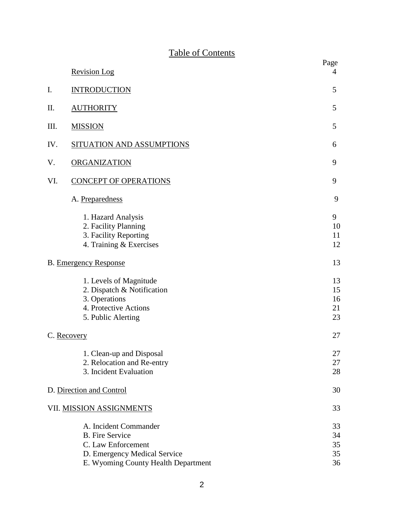# Table of Contents

|                              | <b>Revision Log</b>                                                                                                                          | Page<br>4                  |
|------------------------------|----------------------------------------------------------------------------------------------------------------------------------------------|----------------------------|
| I.                           | <b>INTRODUCTION</b>                                                                                                                          | 5                          |
| Π.                           | <b>AUTHORITY</b>                                                                                                                             | 5                          |
| Ш.                           | <b>MISSION</b>                                                                                                                               | 5                          |
| IV.                          | <b>SITUATION AND ASSUMPTIONS</b>                                                                                                             | 6                          |
| V.                           | ORGANIZATION                                                                                                                                 | 9                          |
| VI.                          | <b>CONCEPT OF OPERATIONS</b>                                                                                                                 | 9                          |
|                              | A. Preparedness                                                                                                                              | 9                          |
|                              | 1. Hazard Analysis<br>2. Facility Planning<br>3. Facility Reporting<br>4. Training & Exercises                                               | 9<br>10<br>11<br>12        |
| <b>B.</b> Emergency Response |                                                                                                                                              | 13                         |
|                              | 1. Levels of Magnitude<br>2. Dispatch & Notification<br>3. Operations<br>4. Protective Actions<br>5. Public Alerting                         | 13<br>15<br>16<br>21<br>23 |
|                              | C. Recovery                                                                                                                                  |                            |
|                              | 1. Clean-up and Disposal<br>2. Relocation and Re-entry<br>3. Incident Evaluation                                                             | 27<br>27<br>28             |
| D. Direction and Control     |                                                                                                                                              | 30                         |
|                              | VII. MISSION ASSIGNMENTS                                                                                                                     | 33                         |
|                              | A. Incident Commander<br><b>B.</b> Fire Service<br>C. Law Enforcement<br>D. Emergency Medical Service<br>E. Wyoming County Health Department | 33<br>34<br>35<br>35<br>36 |

2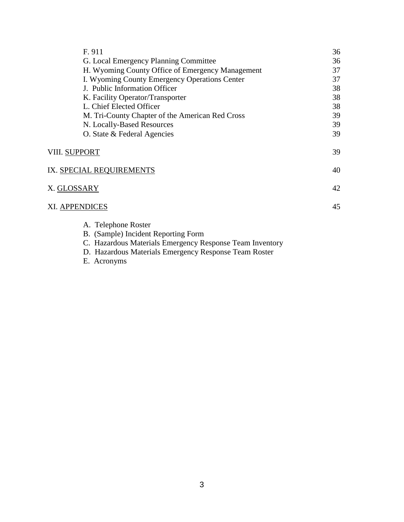| F. 911                                           | 36 |
|--------------------------------------------------|----|
| G. Local Emergency Planning Committee            | 36 |
| H. Wyoming County Office of Emergency Management | 37 |
| I. Wyoming County Emergency Operations Center    | 37 |
| J. Public Information Officer                    | 38 |
| K. Facility Operator/Transporter                 | 38 |
| L. Chief Elected Officer                         | 38 |
| M. Tri-County Chapter of the American Red Cross  | 39 |
| N. Locally-Based Resources                       | 39 |
| O. State & Federal Agencies                      | 39 |
| VIII. SUPPORT                                    | 39 |
| IX. SPECIAL REQUIREMENTS                         | 40 |
| <u>X. GLOSSARY</u>                               | 42 |
| XI. APPENDICES                                   | 45 |
| A. Telephone Roster                              |    |
| B. (Sample) Incident Reporting Form              |    |

C. Hazardous Materials Emergency Response Team Inventory

- D. Hazardous Materials Emergency Response Team Roster
- E. Acronyms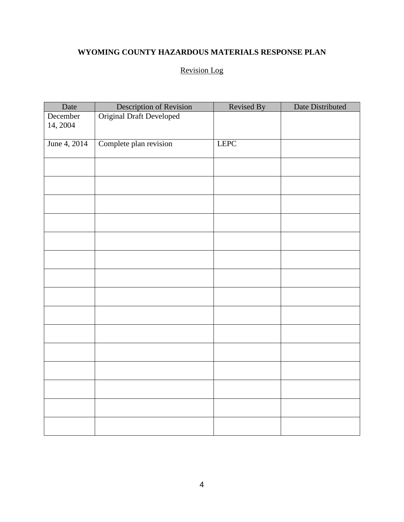# **WYOMING COUNTY HAZARDOUS MATERIALS RESPONSE PLAN**

# Revision Log

| Date         | Description of Revision         | Revised By  | Date Distributed |
|--------------|---------------------------------|-------------|------------------|
| December     | <b>Original Draft Developed</b> |             |                  |
| 14, 2004     |                                 |             |                  |
| June 4, 2014 | Complete plan revision          | <b>LEPC</b> |                  |
|              |                                 |             |                  |
|              |                                 |             |                  |
|              |                                 |             |                  |
|              |                                 |             |                  |
|              |                                 |             |                  |
|              |                                 |             |                  |
|              |                                 |             |                  |
|              |                                 |             |                  |
|              |                                 |             |                  |
|              |                                 |             |                  |
|              |                                 |             |                  |
|              |                                 |             |                  |
|              |                                 |             |                  |
|              |                                 |             |                  |
|              |                                 |             |                  |
|              |                                 |             |                  |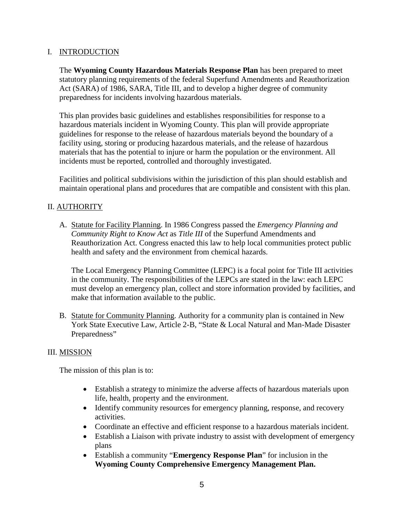# I. INTRODUCTION

The **Wyoming County Hazardous Materials Response Plan** has been prepared to meet statutory planning requirements of the federal Superfund Amendments and Reauthorization Act (SARA) of 1986, SARA, Title III, and to develop a higher degree of community preparedness for incidents involving hazardous materials.

This plan provides basic guidelines and establishes responsibilities for response to a hazardous materials incident in Wyoming County. This plan will provide appropriate guidelines for response to the release of hazardous materials beyond the boundary of a facility using, storing or producing hazardous materials, and the release of hazardous materials that has the potential to injure or harm the population or the environment. All incidents must be reported, controlled and thoroughly investigated.

Facilities and political subdivisions within the jurisdiction of this plan should establish and maintain operational plans and procedures that are compatible and consistent with this plan.

# II. AUTHORITY

A. Statute for Facility Planning. In 1986 Congress passed the *Emergency Planning and Community Right to Know Act* as *Title III* of the Superfund Amendments and Reauthorization Act. Congress enacted this law to help local communities protect public health and safety and the environment from chemical hazards.

The Local Emergency Planning Committee (LEPC) is a focal point for Title III activities in the community. The responsibilities of the LEPCs are stated in the law: each LEPC must develop an emergency plan, collect and store information provided by facilities, and make that information available to the public.

B. Statute for Community Planning. Authority for a community plan is contained in New York State Executive Law, Article 2-B, "State & Local Natural and Man-Made Disaster Preparedness"

# III. MISSION

The mission of this plan is to:

- Establish a strategy to minimize the adverse affects of hazardous materials upon life, health, property and the environment.
- Identify community resources for emergency planning, response, and recovery activities.
- Coordinate an effective and efficient response to a hazardous materials incident.
- Establish a Liaison with private industry to assist with development of emergency plans
- Establish a community "**Emergency Response Plan**" for inclusion in the **Wyoming County Comprehensive Emergency Management Plan.**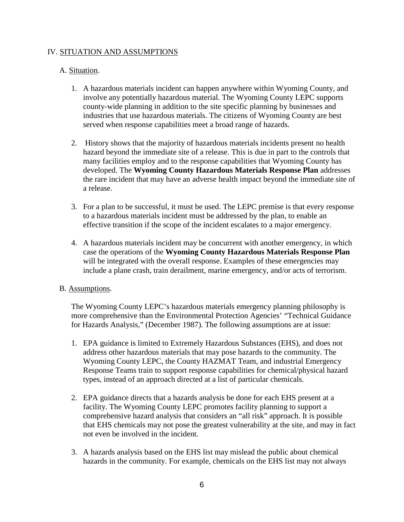# IV. SITUATION AND ASSUMPTIONS

# A. Situation.

- 1. A hazardous materials incident can happen anywhere within Wyoming County, and involve any potentially hazardous material. The Wyoming County LEPC supports county-wide planning in addition to the site specific planning by businesses and industries that use hazardous materials. The citizens of Wyoming County are best served when response capabilities meet a broad range of hazards.
- 2. History shows that the majority of hazardous materials incidents present no health hazard beyond the immediate site of a release. This is due in part to the controls that many facilities employ and to the response capabilities that Wyoming County has developed. The **Wyoming County Hazardous Materials Response Plan** addresses the rare incident that may have an adverse health impact beyond the immediate site of a release.
- 3. For a plan to be successful, it must be used. The LEPC premise is that every response to a hazardous materials incident must be addressed by the plan, to enable an effective transition if the scope of the incident escalates to a major emergency.
- 4. A hazardous materials incident may be concurrent with another emergency, in which case the operations of the **Wyoming County Hazardous Materials Response Plan** will be integrated with the overall response. Examples of these emergencies may include a plane crash, train derailment, marine emergency, and/or acts of terrorism.

#### B. Assumptions.

The Wyoming County LEPC's hazardous materials emergency planning philosophy is more comprehensive than the Environmental Protection Agencies' "Technical Guidance for Hazards Analysis," (December 1987). The following assumptions are at issue:

- 1. EPA guidance is limited to Extremely Hazardous Substances (EHS), and does not address other hazardous materials that may pose hazards to the community. The Wyoming County LEPC, the County HAZMAT Team, and industrial Emergency Response Teams train to support response capabilities for chemical/physical hazard types, instead of an approach directed at a list of particular chemicals.
- 2. EPA guidance directs that a hazards analysis be done for each EHS present at a facility. The Wyoming County LEPC promotes facility planning to support a comprehensive hazard analysis that considers an "all risk" approach. It is possible that EHS chemicals may not pose the greatest vulnerability at the site, and may in fact not even be involved in the incident.
- 3. A hazards analysis based on the EHS list may mislead the public about chemical hazards in the community. For example, chemicals on the EHS list may not always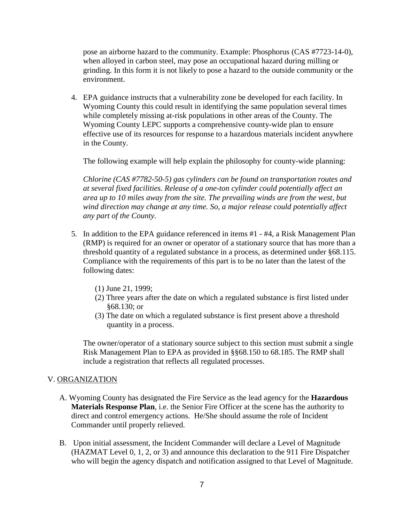pose an airborne hazard to the community. Example: Phosphorus (CAS #7723-14-0), when alloyed in carbon steel, may pose an occupational hazard during milling or grinding. In this form it is not likely to pose a hazard to the outside community or the environment.

4. EPA guidance instructs that a vulnerability zone be developed for each facility. In Wyoming County this could result in identifying the same population several times while completely missing at-risk populations in other areas of the County. The Wyoming County LEPC supports a comprehensive county-wide plan to ensure effective use of its resources for response to a hazardous materials incident anywhere in the County.

The following example will help explain the philosophy for county-wide planning:

*Chlorine (CAS #7782-50-5) gas cylinders can be found on transportation routes and at several fixed facilities. Release of a one-ton cylinder could potentially affect an area up to 10 miles away from the site. The prevailing winds are from the west, but wind direction may change at any time. So, a major release could potentially affect any part of the County.*

- 5. In addition to the EPA guidance referenced in items #1 #4, a Risk Management Plan (RMP) is required for an owner or operator of a stationary source that has more than a threshold quantity of a regulated substance in a process, as determined under §68.115. Compliance with the requirements of this part is to be no later than the latest of the following dates:
	- (1) June 21, 1999;
	- (2) Three years after the date on which a regulated substance is first listed under §68.130; or
	- (3) The date on which a regulated substance is first present above a threshold quantity in a process.

The owner/operator of a stationary source subject to this section must submit a single Risk Management Plan to EPA as provided in §§68.150 to 68.185. The RMP shall include a registration that reflects all regulated processes.

#### V. ORGANIZATION

- A. Wyoming County has designated the Fire Service as the lead agency for the **Hazardous Materials Response Plan**, i.e. the Senior Fire Officer at the scene has the authority to direct and control emergency actions. He/She should assume the role of Incident Commander until properly relieved.
- B. Upon initial assessment, the Incident Commander will declare a Level of Magnitude (HAZMAT Level 0, 1, 2, or 3) and announce this declaration to the 911 Fire Dispatcher who will begin the agency dispatch and notification assigned to that Level of Magnitude.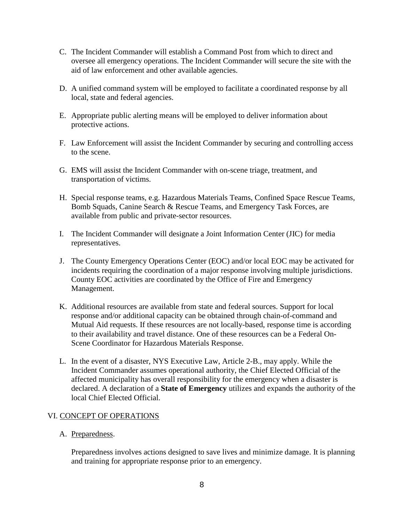- C. The Incident Commander will establish a Command Post from which to direct and oversee all emergency operations. The Incident Commander will secure the site with the aid of law enforcement and other available agencies.
- D. A unified command system will be employed to facilitate a coordinated response by all local, state and federal agencies.
- E. Appropriate public alerting means will be employed to deliver information about protective actions.
- F. Law Enforcement will assist the Incident Commander by securing and controlling access to the scene.
- G. EMS will assist the Incident Commander with on-scene triage, treatment, and transportation of victims.
- H. Special response teams, e.g. Hazardous Materials Teams, Confined Space Rescue Teams, Bomb Squads, Canine Search & Rescue Teams, and Emergency Task Forces, are available from public and private-sector resources.
- I. The Incident Commander will designate a Joint Information Center (JIC) for media representatives.
- J. The County Emergency Operations Center (EOC) and/or local EOC may be activated for incidents requiring the coordination of a major response involving multiple jurisdictions. County EOC activities are coordinated by the Office of Fire and Emergency Management.
- K. Additional resources are available from state and federal sources. Support for local response and/or additional capacity can be obtained through chain-of-command and Mutual Aid requests. If these resources are not locally-based, response time is according to their availability and travel distance. One of these resources can be a Federal On-Scene Coordinator for Hazardous Materials Response.
- L. In the event of a disaster, NYS Executive Law, Article 2-B., may apply. While the Incident Commander assumes operational authority, the Chief Elected Official of the affected municipality has overall responsibility for the emergency when a disaster is declared. A declaration of a **State of Emergency** utilizes and expands the authority of the local Chief Elected Official.

# VI. CONCEPT OF OPERATIONS

A. Preparedness.

Preparedness involves actions designed to save lives and minimize damage. It is planning and training for appropriate response prior to an emergency.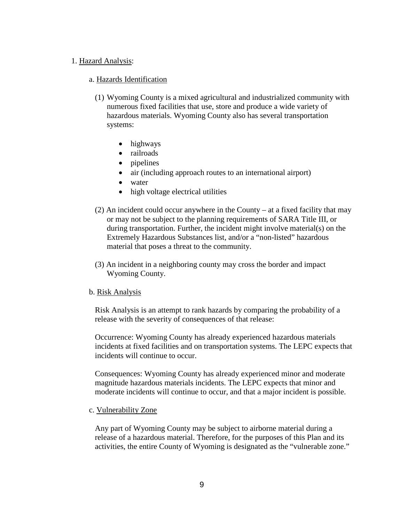#### 1. Hazard Analysis:

#### a. Hazards Identification

- (1) Wyoming County is a mixed agricultural and industrialized community with numerous fixed facilities that use, store and produce a wide variety of hazardous materials. Wyoming County also has several transportation systems:
	- highways
	- railroads
	- pipelines
	- air (including approach routes to an international airport)
	- water
	- high voltage electrical utilities
- (2) An incident could occur anywhere in the County at a fixed facility that may or may not be subject to the planning requirements of SARA Title III, or during transportation. Further, the incident might involve material(s) on the Extremely Hazardous Substances list, and/or a "non-listed" hazardous material that poses a threat to the community.
- (3) An incident in a neighboring county may cross the border and impact Wyoming County.

#### b. Risk Analysis

Risk Analysis is an attempt to rank hazards by comparing the probability of a release with the severity of consequences of that release:

Occurrence: Wyoming County has already experienced hazardous materials incidents at fixed facilities and on transportation systems. The LEPC expects that incidents will continue to occur.

Consequences: Wyoming County has already experienced minor and moderate magnitude hazardous materials incidents. The LEPC expects that minor and moderate incidents will continue to occur, and that a major incident is possible.

#### c. Vulnerability Zone

Any part of Wyoming County may be subject to airborne material during a release of a hazardous material. Therefore, for the purposes of this Plan and its activities, the entire County of Wyoming is designated as the "vulnerable zone."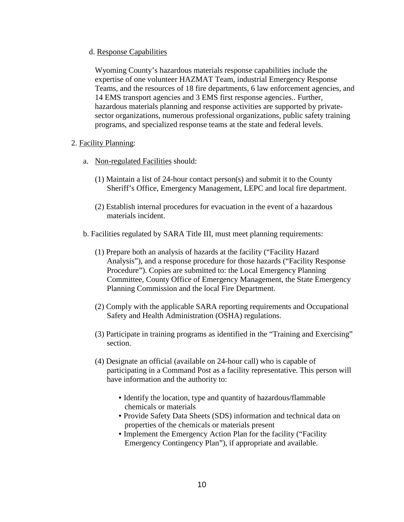#### d. Response Capabilities

Wyoming County's hazardous materials response capabilities include the expertise of one volunteer HAZMAT Team, industrial Emergency Response Teams, and the resources of 18 fire departments, 6 law enforcement agencies, and 14 EMS transport agencies and 3 EMS first response agencies.. Further, hazardous materials planning and response activities are supported by privatesector organizations, numerous professional organizations, public safety training programs, and specialized response teams at the state and federal levels.

#### 2. Facility Planning:

- a. Non-regulated Facilities should:
	- (1) Maintain a list of 24-hour contact person(s) and submit it to the County Sheriff's Office, Emergency Management, LEPC and local fire department.
	- (2) Establish internal procedures for evacuation in the event of a hazardous materials incident.
- b. Facilities regulated by SARA Title III, must meet planning requirements:
	- (1) Prepare both an analysis of hazards at the facility ("Facility Hazard Analysis"), and a response procedure for those hazards ("Facility Response Procedure"). Copies are submitted to: the Local Emergency Planning Committee, County Office of Emergency Management, the State Emergency Planning Commission and the local Fire Department.
	- (2) Comply with the applicable SARA reporting requirements and Occupational Safety and Health Administration (OSHA) regulations.
	- (3) Participate in training programs as identified in the "Training and Exercising" section.
	- (4) Designate an official (available on 24-hour call) who is capable of participating in a Command Post as a facility representative. This person will have information and the authority to:
		- Identify the location, type and quantity of hazardous/flammable chemicals or materials
		- Provide Safety Data Sheets (SDS) information and technical data on properties of the chemicals or materials present
		- Implement the Emergency Action Plan for the facility ("Facility Emergency Contingency Plan"), if appropriate and available.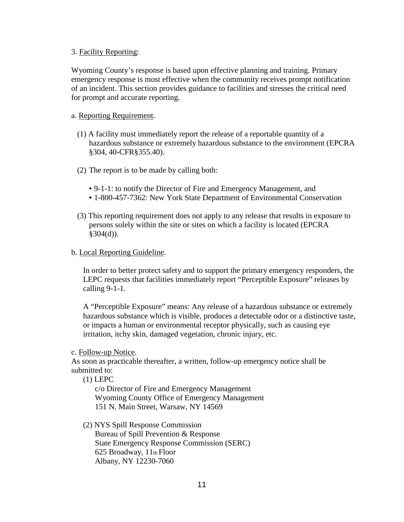#### 3. Facility Reporting:

Wyoming County's response is based upon effective planning and training. Primary emergency response is most effective when the community receives prompt notification of an incident. This section provides guidance to facilities and stresses the critical need for prompt and accurate reporting.

#### a. Reporting Requirement.

- (1) A facility must immediately report the release of a reportable quantity of a hazardous substance or extremely hazardous substance to the environment (EPCRA §304, 40-CFR§355.40).
- (2) The report is to be made by calling both:
	- 9-1-1: to notify the Director of Fire and Emergency Management, and
	- 1-800-457-7362: New York State Department of Environmental Conservation
- (3) This reporting requirement does not apply to any release that results in exposure to persons solely within the site or sites on which a facility is located (EPCRA  $§304(d)$ ).

#### b. Local Reporting Guideline.

In order to better protect safety and to support the primary emergency responders, the LEPC requests that facilities immediately report "Perceptible Exposure" releases by calling 9-1-1.

A "Perceptible Exposure" means: Any release of a hazardous substance or extremely hazardous substance which is visible, produces a detectable odor or a distinctive taste, or impacts a human or environmental receptor physically, such as causing eye irritation, itchy skin, damaged vegetation, chronic injury, etc.

#### c. Follow-up Notice.

As soon as practicable thereafter, a written, follow-up emergency notice shall be submitted to:

(1) LEPC

c/o Director of Fire and Emergency Management Wyoming County Office of Emergency Management 151 N. Main Street, Warsaw, NY 14569

#### (2) NYS Spill Response Commission

Bureau of Spill Prevention & Response State Emergency Response Commission (SERC) 625 Broadway, 11th Floor Albany, NY 12230-7060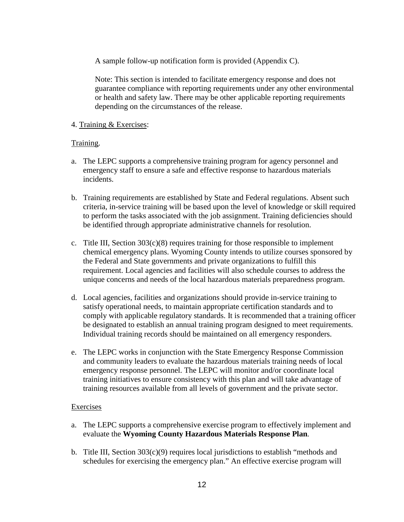A sample follow-up notification form is provided (Appendix C).

Note: This section is intended to facilitate emergency response and does not guarantee compliance with reporting requirements under any other environmental or health and safety law. There may be other applicable reporting requirements depending on the circumstances of the release.

# 4. Training & Exercises:

# Training.

- a. The LEPC supports a comprehensive training program for agency personnel and emergency staff to ensure a safe and effective response to hazardous materials incidents.
- b. Training requirements are established by State and Federal regulations. Absent such criteria, in-service training will be based upon the level of knowledge or skill required to perform the tasks associated with the job assignment. Training deficiencies should be identified through appropriate administrative channels for resolution.
- c. Title III, Section  $303(c)(8)$  requires training for those responsible to implement chemical emergency plans. Wyoming County intends to utilize courses sponsored by the Federal and State governments and private organizations to fulfill this requirement. Local agencies and facilities will also schedule courses to address the unique concerns and needs of the local hazardous materials preparedness program.
- d. Local agencies, facilities and organizations should provide in-service training to satisfy operational needs, to maintain appropriate certification standards and to comply with applicable regulatory standards. It is recommended that a training officer be designated to establish an annual training program designed to meet requirements. Individual training records should be maintained on all emergency responders.
- e. The LEPC works in conjunction with the State Emergency Response Commission and community leaders to evaluate the hazardous materials training needs of local emergency response personnel. The LEPC will monitor and/or coordinate local training initiatives to ensure consistency with this plan and will take advantage of training resources available from all levels of government and the private sector.

#### Exercises

- a. The LEPC supports a comprehensive exercise program to effectively implement and evaluate the **Wyoming County Hazardous Materials Response Plan***.*
- b. Title III, Section  $303(c)(9)$  requires local jurisdictions to establish "methods and schedules for exercising the emergency plan." An effective exercise program will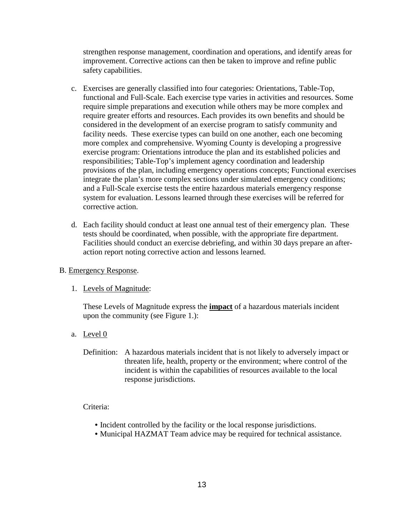strengthen response management, coordination and operations, and identify areas for improvement. Corrective actions can then be taken to improve and refine public safety capabilities.

- c. Exercises are generally classified into four categories: Orientations, Table-Top, functional and Full-Scale. Each exercise type varies in activities and resources. Some require simple preparations and execution while others may be more complex and require greater efforts and resources. Each provides its own benefits and should be considered in the development of an exercise program to satisfy community and facility needs. These exercise types can build on one another, each one becoming more complex and comprehensive. Wyoming County is developing a progressive exercise program: Orientations introduce the plan and its established policies and responsibilities; Table-Top's implement agency coordination and leadership provisions of the plan, including emergency operations concepts; Functional exercises integrate the plan's more complex sections under simulated emergency conditions; and a Full-Scale exercise tests the entire hazardous materials emergency response system for evaluation. Lessons learned through these exercises will be referred for corrective action.
- d. Each facility should conduct at least one annual test of their emergency plan. These tests should be coordinated, when possible, with the appropriate fire department. Facilities should conduct an exercise debriefing, and within 30 days prepare an afteraction report noting corrective action and lessons learned.
- B. Emergency Response.
	- 1. Levels of Magnitude:

These Levels of Magnitude express the **impact** of a hazardous materials incident upon the community (see Figure 1.):

- a. Level 0
	- Definition: A hazardous materials incident that is not likely to adversely impact or threaten life, health, property or the environment; where control of the incident is within the capabilities of resources available to the local response jurisdictions.

# Criteria:

- Incident controlled by the facility or the local response jurisdictions.
- Municipal HAZMAT Team advice may be required for technical assistance.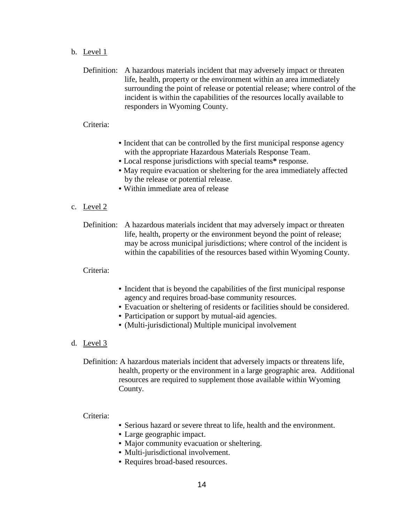b. Level 1

Definition: A hazardous materials incident that may adversely impact or threaten life, health, property or the environment within an area immediately surrounding the point of release or potential release; where control of the incident is within the capabilities of the resources locally available to responders in Wyoming County.

#### Criteria:

- Incident that can be controlled by the first municipal response agency with the appropriate Hazardous Materials Response Team.
- Local response jurisdictions with special teams**\*** response.
- May require evacuation or sheltering for the area immediately affected by the release or potential release.
- Within immediate area of release

#### c. Level 2

Definition: A hazardous materials incident that may adversely impact or threaten life, health, property or the environment beyond the point of release; may be across municipal jurisdictions; where control of the incident is within the capabilities of the resources based within Wyoming County.

#### Criteria:

- Incident that is beyond the capabilities of the first municipal response agency and requires broad-base community resources.
- Evacuation or sheltering of residents or facilities should be considered.
- Participation or support by mutual-aid agencies.
- (Multi-jurisdictional) Multiple municipal involvement
- d. Level 3

Definition: A hazardous materials incident that adversely impacts or threatens life, health, property or the environment in a large geographic area. Additional resources are required to supplement those available within Wyoming County.

#### Criteria:

- Serious hazard or severe threat to life, health and the environment.
- Large geographic impact.
- Major community evacuation or sheltering.
- Multi-jurisdictional involvement.
- Requires broad-based resources.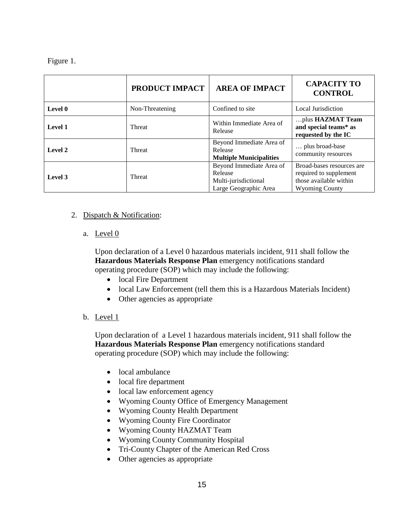# Figure 1.

|         | PRODUCT IMPACT  | <b>AREA OF IMPACT</b>                                                                | <b>CAPACITY TO</b><br><b>CONTROL</b>                                                                   |
|---------|-----------------|--------------------------------------------------------------------------------------|--------------------------------------------------------------------------------------------------------|
| Level 0 | Non-Threatening | Confined to site                                                                     | Local Jurisdiction                                                                                     |
| Level 1 | <b>Threat</b>   | Within Immediate Area of<br>Release                                                  | plus HAZMAT Team<br>and special teams* as<br>requested by the IC                                       |
| Level 2 | <b>Threat</b>   | Beyond Immediate Area of<br>Release<br><b>Multiple Municipalities</b>                | plus broad-base<br>community resources                                                                 |
| Level 3 | <b>Threat</b>   | Beyond Immediate Area of<br>Release<br>Multi-jurisdictional<br>Large Geographic Area | Broad-bases resources are<br>required to supplement<br>those available within<br><b>Wyoming County</b> |

# 2. Dispatch & Notification:

a. Level 0

Upon declaration of a Level 0 hazardous materials incident, 911 shall follow the **Hazardous Materials Response Plan** emergency notifications standard operating procedure (SOP) which may include the following:

- local Fire Department
- local Law Enforcement (tell them this is a Hazardous Materials Incident)
- Other agencies as appropriate
- b. Level 1

Upon declaration of a Level 1 hazardous materials incident, 911 shall follow the **Hazardous Materials Response Plan** emergency notifications standard operating procedure (SOP) which may include the following:

- local ambulance
- local fire department
- local law enforcement agency
- Wyoming County Office of Emergency Management
- Wyoming County Health Department
- Wyoming County Fire Coordinator
- Wyoming County HAZMAT Team
- Wyoming County Community Hospital
- Tri-County Chapter of the American Red Cross
- Other agencies as appropriate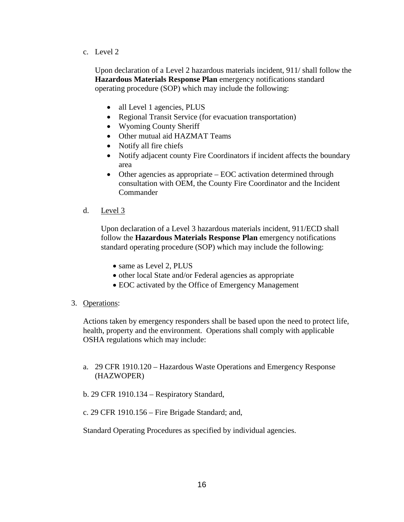c. Level 2

Upon declaration of a Level 2 hazardous materials incident, 911/ shall follow the **Hazardous Materials Response Plan** emergency notifications standard operating procedure (SOP) which may include the following:

- all Level 1 agencies, PLUS
- Regional Transit Service (for evacuation transportation)
- Wyoming County Sheriff
- Other mutual aid HAZMAT Teams
- Notify all fire chiefs
- Notify adjacent county Fire Coordinators if incident affects the boundary area
- Other agencies as appropriate EOC activation determined through consultation with OEM, the County Fire Coordinator and the Incident Commander
- d. Level 3

Upon declaration of a Level 3 hazardous materials incident, 911/ECD shall follow the **Hazardous Materials Response Plan** emergency notifications standard operating procedure (SOP) which may include the following:

- same as Level 2, PLUS
- other local State and/or Federal agencies as appropriate
- EOC activated by the Office of Emergency Management
- 3. Operations:

Actions taken by emergency responders shall be based upon the need to protect life, health, property and the environment. Operations shall comply with applicable OSHA regulations which may include:

- a. 29 CFR 1910.120 Hazardous Waste Operations and Emergency Response (HAZWOPER)
- b. 29 CFR 1910.134 Respiratory Standard,
- c. 29 CFR 1910.156 Fire Brigade Standard; and,

Standard Operating Procedures as specified by individual agencies.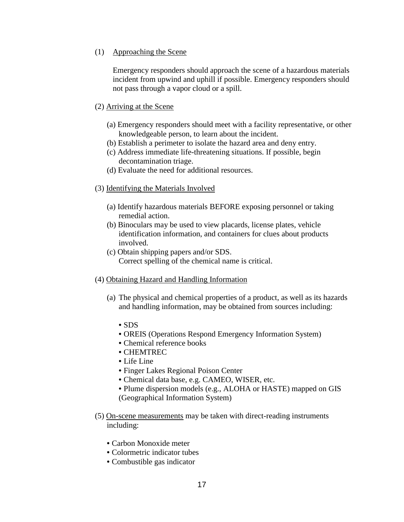#### (1) Approaching the Scene

Emergency responders should approach the scene of a hazardous materials incident from upwind and uphill if possible. Emergency responders should not pass through a vapor cloud or a spill.

# (2) Arriving at the Scene

- (a) Emergency responders should meet with a facility representative, or other knowledgeable person, to learn about the incident.
- (b) Establish a perimeter to isolate the hazard area and deny entry.
- (c) Address immediate life-threatening situations. If possible, begin decontamination triage.
- (d) Evaluate the need for additional resources.

# (3) Identifying the Materials Involved

- (a) Identify hazardous materials BEFORE exposing personnel or taking remedial action.
- (b) Binoculars may be used to view placards, license plates, vehicle identification information, and containers for clues about products involved.
- (c) Obtain shipping papers and/or SDS. Correct spelling of the chemical name is critical.
- (4) Obtaining Hazard and Handling Information
	- (a) The physical and chemical properties of a product, as well as its hazards and handling information, may be obtained from sources including:
		- SDS
		- OREIS (Operations Respond Emergency Information System)
		- Chemical reference books
		- CHEMTREC
		- Life Line
		- Finger Lakes Regional Poison Center
		- Chemical data base, e.g. CAMEO, WISER, etc.
		- Plume dispersion models (e.g., ALOHA or HASTE) mapped on GIS (Geographical Information System)
- (5) On-scene measurements may be taken with direct-reading instruments including:
	- Carbon Monoxide meter
	- Colormetric indicator tubes
	- Combustible gas indicator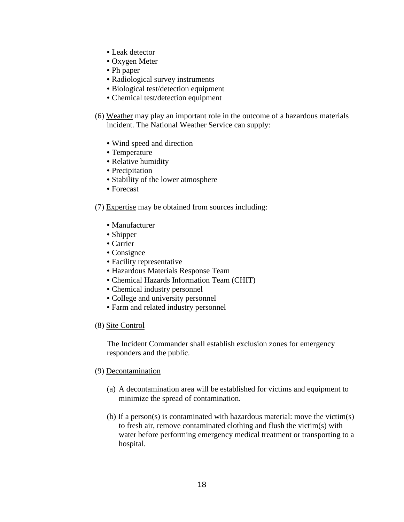- Leak detector
- Oxygen Meter
- Ph paper
- Radiological survey instruments
- Biological test/detection equipment
- Chemical test/detection equipment
- (6) Weather may play an important role in the outcome of a hazardous materials incident. The National Weather Service can supply:
	- Wind speed and direction
	- Temperature
	- Relative humidity
	- Precipitation
	- Stability of the lower atmosphere
	- Forecast

#### (7) Expertise may be obtained from sources including:

- Manufacturer
- Shipper
- Carrier
- Consignee
- Facility representative
- Hazardous Materials Response Team
- Chemical Hazards Information Team (CHIT)
- Chemical industry personnel
- College and university personnel
- Farm and related industry personnel

#### (8) Site Control

The Incident Commander shall establish exclusion zones for emergency responders and the public.

#### (9) Decontamination

- (a) A decontamination area will be established for victims and equipment to minimize the spread of contamination.
- (b) If a person(s) is contaminated with hazardous material: move the victim(s) to fresh air, remove contaminated clothing and flush the victim(s) with water before performing emergency medical treatment or transporting to a hospital.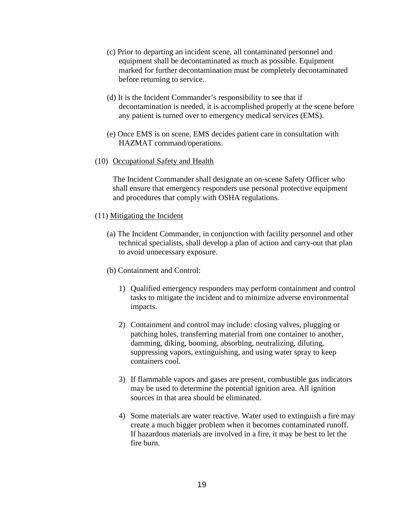- (c) Prior to departing an incident scene, all contaminated personnel and equipment shall be decontaminated as much as possible. Equipment marked for further decontamination must be completely decontaminated before returning to service.
- (d) It is the Incident Commander's responsibility to see that if decontamination is needed, it is accomplished properly at the scene before any patient is turned over to emergency medical services (EMS).
- (e) Once EMS is on scene, EMS decides patient care in consultation with HAZMAT command/operations.
- (10) Occupational Safety and Health

The Incident Commander shall designate an on-scene Safety Officer who shall ensure that emergency responders use personal protective equipment and procedures that comply with OSHA regulations.

- (11) Mitigating the Incident
	- (a) The Incident Commander, in conjunction with facility personnel and other technical specialists, shall develop a plan of action and carry-out that plan to avoid unnecessary exposure.
	- (b) Containment and Control:
		- 1) Qualified emergency responders may perform containment and control tasks to mitigate the incident and to minimize adverse environmental impacts.
		- 2) Containment and control may include: closing valves, plugging or patching holes, transferring material from one container to another, damming, diking, booming, absorbing, neutralizing, diluting, suppressing vapors, extinguishing, and using water spray to keep containers cool.
		- 3) If flammable vapors and gases are present, combustible gas indicators may be used to determine the potential ignition area. All ignition sources in that area should be eliminated.
		- 4) Some materials are water reactive. Water used to extinguish a fire may create a much bigger problem when it becomes contaminated runoff. If hazardous materials are involved in a fire, it may be best to let the fire burn.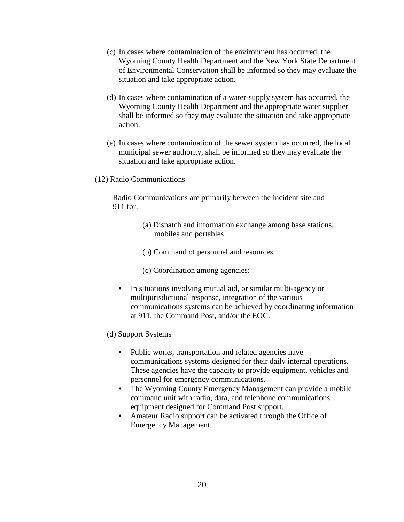- (c) In cases where contamination of the environment has occurred, the Wyoming County Health Department and the New York State Department of Environmental Conservation shall be informed so they may evaluate the situation and take appropriate action.
- (d) In cases where contamination of a water-supply system has occurred, the Wyoming County Health Department and the appropriate water supplier shall be informed so they may evaluate the situation and take appropriate action.
- (e) In cases where contamination of the sewer system has occurred, the local municipal sewer authority, shall be informed so they may evaluate the situation and take appropriate action.
- (12) Radio Communications

Radio Communications are primarily between the incident site and 911 for:

- (a) Dispatch and information exchange among base stations, mobiles and portables
- (b) Command of personnel and resources
- (c) Coordination among agencies:
- In situations involving mutual aid, or similar multi-agency or multijurisdictional response, integration of the various communications systems can be achieved by coordinating information at 911, the Command Post, and/or the EOC.
- (d) Support Systems
	- Public works, transportation and related agencies have communications systems designed for their daily internal operations. These agencies have the capacity to provide equipment, vehicles and personnel for emergency communications.
	- The Wyoming County Emergency Management can provide a mobile command unit with radio, data, and telephone communications equipment designed for Command Post support.
	- Amateur Radio support can be activated through the Office of Emergency Management.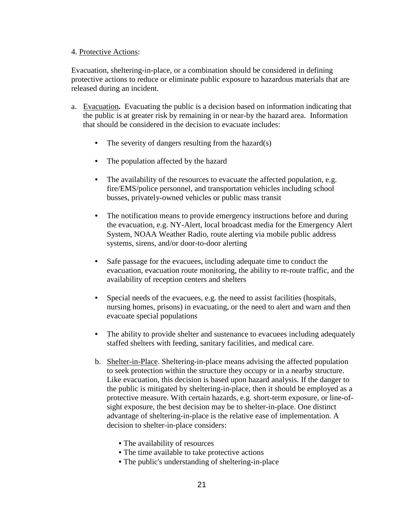#### 4. Protective Actions:

Evacuation, sheltering-in-place, or a combination should be considered in defining protective actions to reduce or eliminate public exposure to hazardous materials that are released during an incident.

- a. Evacuation**.** Evacuating the public is a decision based on information indicating that the public is at greater risk by remaining in or near-by the hazard area. Information that should be considered in the decision to evacuate includes:
	- The severity of dangers resulting from the hazard(s)
	- The population affected by the hazard
	- The availability of the resources to evacuate the affected population, e.g. fire/EMS/police personnel, and transportation vehicles including school busses, privately-owned vehicles or public mass transit
	- The notification means to provide emergency instructions before and during the evacuation, e.g. NY-Alert, local broadcast media for the Emergency Alert System, NOAA Weather Radio, route alerting via mobile public address systems, sirens, and/or door-to-door alerting
	- Safe passage for the evacuees, including adequate time to conduct the evacuation, evacuation route monitoring, the ability to re-route traffic, and the availability of reception centers and shelters
	- Special needs of the evacuees, e.g. the need to assist facilities (hospitals, nursing homes, prisons) in evacuating, or the need to alert and warn and then evacuate special populations
	- The ability to provide shelter and sustenance to evacuees including adequately staffed shelters with feeding, sanitary facilities, and medical care.
	- b. Shelter-in-Place. Sheltering-in-place means advising the affected population to seek protection within the structure they occupy or in a nearby structure. Like evacuation, this decision is based upon hazard analysis. If the danger to the public is mitigated by sheltering-in-place, then it should be employed as a protective measure. With certain hazards, e.g. short-term exposure, or line-ofsight exposure, the best decision may be to shelter-in-place. One distinct advantage of sheltering-in-place is the relative ease of implementation. A decision to shelter-in-place considers:
		- The availability of resources
		- The time available to take protective actions
		- The public's understanding of sheltering-in-place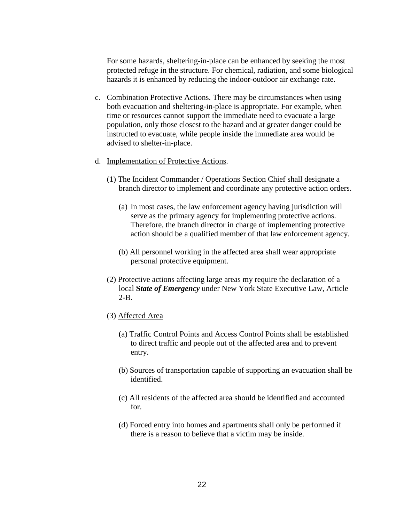For some hazards, sheltering-in-place can be enhanced by seeking the most protected refuge in the structure. For chemical, radiation, and some biological hazards it is enhanced by reducing the indoor-outdoor air exchange rate.

- c. Combination Protective Actions. There may be circumstances when using both evacuation and sheltering-in-place is appropriate. For example, when time or resources cannot support the immediate need to evacuate a large population, only those closest to the hazard and at greater danger could be instructed to evacuate, while people inside the immediate area would be advised to shelter-in-place.
- d. Implementation of Protective Actions.
	- (1) The Incident Commander / Operations Section Chief shall designate a branch director to implement and coordinate any protective action orders.
		- (a) In most cases, the law enforcement agency having jurisdiction will serve as the primary agency for implementing protective actions. Therefore, the branch director in charge of implementing protective action should be a qualified member of that law enforcement agency.
		- (b) All personnel working in the affected area shall wear appropriate personal protective equipment.
	- (2) Protective actions affecting large areas my require the declaration of a local **S***tate of Emergency* under New York State Executive Law, Article 2-B.
	- (3) Affected Area
		- (a) Traffic Control Points and Access Control Points shall be established to direct traffic and people out of the affected area and to prevent entry.
		- (b) Sources of transportation capable of supporting an evacuation shall be identified.
		- (c) All residents of the affected area should be identified and accounted for.
		- (d) Forced entry into homes and apartments shall only be performed if there is a reason to believe that a victim may be inside.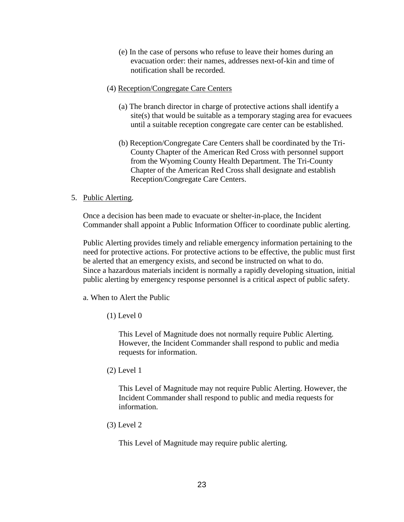- (e) In the case of persons who refuse to leave their homes during an evacuation order: their names, addresses next-of-kin and time of notification shall be recorded.
- (4) Reception/Congregate Care Centers
	- (a) The branch director in charge of protective actions shall identify a site(s) that would be suitable as a temporary staging area for evacuees until a suitable reception congregate care center can be established.
	- (b) Reception/Congregate Care Centers shall be coordinated by the Tri-County Chapter of the American Red Cross with personnel support from the Wyoming County Health Department. The Tri-County Chapter of the American Red Cross shall designate and establish Reception/Congregate Care Centers.
- 5. Public Alerting.

Once a decision has been made to evacuate or shelter-in-place, the Incident Commander shall appoint a Public Information Officer to coordinate public alerting.

Public Alerting provides timely and reliable emergency information pertaining to the need for protective actions. For protective actions to be effective, the public must first be alerted that an emergency exists, and second be instructed on what to do. Since a hazardous materials incident is normally a rapidly developing situation, initial public alerting by emergency response personnel is a critical aspect of public safety.

a. When to Alert the Public

 $(1)$  Level  $0$ 

This Level of Magnitude does not normally require Public Alerting. However, the Incident Commander shall respond to public and media requests for information.

(2) Level 1

This Level of Magnitude may not require Public Alerting. However, the Incident Commander shall respond to public and media requests for information.

(3) Level 2

This Level of Magnitude may require public alerting.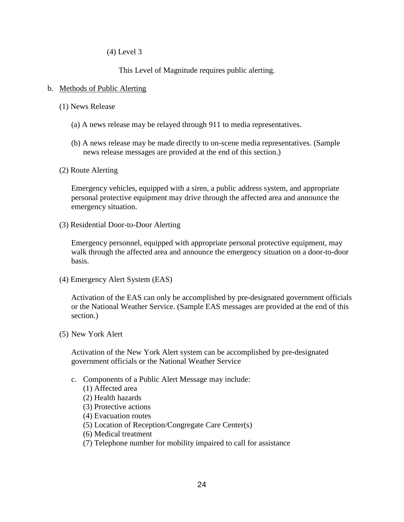(4) Level 3

This Level of Magnitude requires public alerting.

#### b. Methods of Public Alerting

- (1) News Release
	- (a) A news release may be relayed through 911 to media representatives.
	- (b) A news release may be made directly to on-scene media representatives. (Sample news release messages are provided at the end of this section.)
- (2) Route Alerting

Emergency vehicles, equipped with a siren, a public address system, and appropriate personal protective equipment may drive through the affected area and announce the emergency situation.

(3) Residential Door-to-Door Alerting

Emergency personnel, equipped with appropriate personal protective equipment, may walk through the affected area and announce the emergency situation on a door-to-door basis.

(4) Emergency Alert System (EAS)

Activation of the EAS can only be accomplished by pre-designated government officials or the National Weather Service. (Sample EAS messages are provided at the end of this section.)

(5) New York Alert

Activation of the New York Alert system can be accomplished by pre-designated government officials or the National Weather Service

- c. Components of a Public Alert Message may include:
	- (1) Affected area
	- (2) Health hazards
	- (3) Protective actions
	- (4) Evacuation routes
	- (5) Location of Reception/Congregate Care Center(s)
	- (6) Medical treatment
	- (7) Telephone number for mobility impaired to call for assistance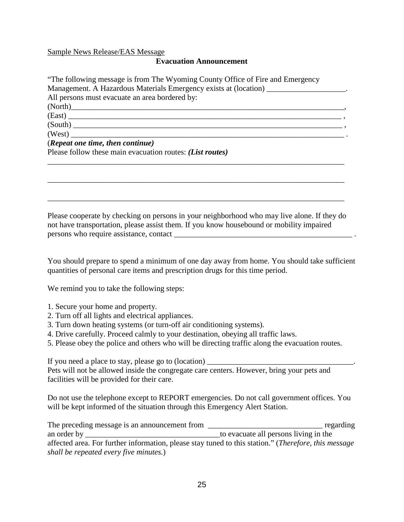#### Sample News Release/EAS Message

#### **Evacuation Announcement**

"The following message is from The Wyoming County Office of Fire and Emergency Management. A Hazardous Materials Emergency exists at (location) \_\_\_\_\_\_\_\_\_\_\_\_\_\_\_\_\_\_\_\_. All persons must evacuate an area bordered by: (North)\_\_\_\_\_\_\_\_\_\_\_\_\_\_\_\_\_\_\_\_\_\_\_\_\_\_\_\_\_\_\_\_\_\_\_\_\_\_\_\_\_\_\_\_\_\_\_\_\_\_\_\_\_\_\_\_\_\_\_\_\_\_\_\_\_\_\_\_\_, (East) \_\_\_\_\_\_\_\_\_\_\_\_\_\_\_\_\_\_\_\_\_\_\_\_\_\_\_\_\_\_\_\_\_\_\_\_\_\_\_\_\_\_\_\_\_\_\_\_\_\_\_\_\_\_\_\_\_\_\_\_\_\_\_\_\_\_\_\_\_ ,  $(South)$   $\longrightarrow$  $(West)$   $\blacksquare$ (*Repeat one time, then continue)* Please follow these main evacuation routes: *(List routes)* \_\_\_\_\_\_\_\_\_\_\_\_\_\_\_\_\_\_\_\_\_\_\_\_\_\_\_\_\_\_\_\_\_\_\_\_\_\_\_\_\_\_\_\_\_\_\_\_\_\_\_\_\_\_\_\_\_\_\_\_\_\_\_\_\_\_\_\_\_\_\_\_\_\_\_

Please cooperate by checking on persons in your neighborhood who may live alone. If they do not have transportation, please assist them. If you know housebound or mobility impaired persons who require assistance, contact  $\Box$ 

\_\_\_\_\_\_\_\_\_\_\_\_\_\_\_\_\_\_\_\_\_\_\_\_\_\_\_\_\_\_\_\_\_\_\_\_\_\_\_\_\_\_\_\_\_\_\_\_\_\_\_\_\_\_\_\_\_\_\_\_\_\_\_\_\_\_\_\_\_\_\_\_\_\_\_

\_\_\_\_\_\_\_\_\_\_\_\_\_\_\_\_\_\_\_\_\_\_\_\_\_\_\_\_\_\_\_\_\_\_\_\_\_\_\_\_\_\_\_\_\_\_\_\_\_\_\_\_\_\_\_\_\_\_\_\_\_\_\_\_\_\_\_\_\_\_\_\_\_\_\_

You should prepare to spend a minimum of one day away from home. You should take sufficient quantities of personal care items and prescription drugs for this time period.

We remind you to take the following steps:

- 1. Secure your home and property.
- 2. Turn off all lights and electrical appliances.
- 3. Turn down heating systems (or turn-off air conditioning systems).
- 4. Drive carefully. Proceed calmly to your destination, obeying all traffic laws.
- 5. Please obey the police and others who will be directing traffic along the evacuation routes.

If you need a place to stay, please go to  $(location)$ 

Pets will not be allowed inside the congregate care centers. However, bring your pets and facilities will be provided for their care.

Do not use the telephone except to REPORT emergencies. Do not call government offices. You will be kept informed of the situation through this Emergency Alert Station.

The preceding message is an announcement from \_\_\_\_\_\_\_\_\_\_\_\_\_\_\_\_\_\_\_\_\_\_\_\_\_\_\_\_\_\_\_\_\_\_ regarding an order by \_\_\_\_\_\_\_\_\_\_\_\_\_\_\_\_\_\_\_\_\_\_\_\_\_\_\_\_\_\_\_\_\_\_to evacuate all persons living in the affected area. For further information, please stay tuned to this station." (*Therefore, this message shall be repeated every five minutes.*)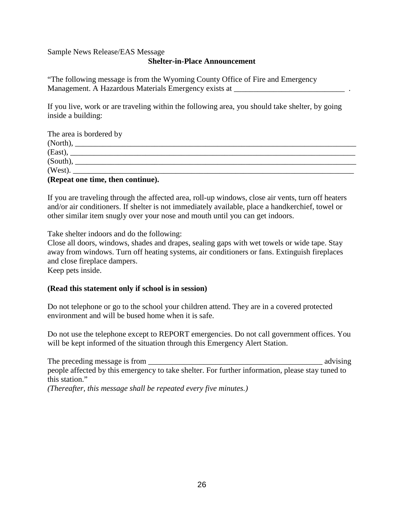#### Sample News Release/EAS Message

#### **Shelter-in-Place Announcement**

"The following message is from the Wyoming County Office of Fire and Emergency Management. A Hazardous Materials Emergency exists at

If you live, work or are traveling within the following area, you should take shelter, by going inside a building:

| The area is bordered by           |  |  |
|-----------------------------------|--|--|
| (North),                          |  |  |
|                                   |  |  |
| (South),                          |  |  |
| (West).                           |  |  |
| (Repeat one time, then continue). |  |  |

If you are traveling through the affected area, roll-up windows, close air vents, turn off heaters and/or air conditioners. If shelter is not immediately available, place a handkerchief, towel or other similar item snugly over your nose and mouth until you can get indoors.

Take shelter indoors and do the following:

Close all doors, windows, shades and drapes, sealing gaps with wet towels or wide tape. Stay away from windows. Turn off heating systems, air conditioners or fans. Extinguish fireplaces and close fireplace dampers.

Keep pets inside.

#### **(Read this statement only if school is in session)**

Do not telephone or go to the school your children attend. They are in a covered protected environment and will be bused home when it is safe.

Do not use the telephone except to REPORT emergencies. Do not call government offices. You will be kept informed of the situation through this Emergency Alert Station.

The preceding message is from  $\alpha$  advising and  $\alpha$  advising and  $\alpha$  advising and  $\alpha$ people affected by this emergency to take shelter. For further information, please stay tuned to this station." *(Thereafter, this message shall be repeated every five minutes.)*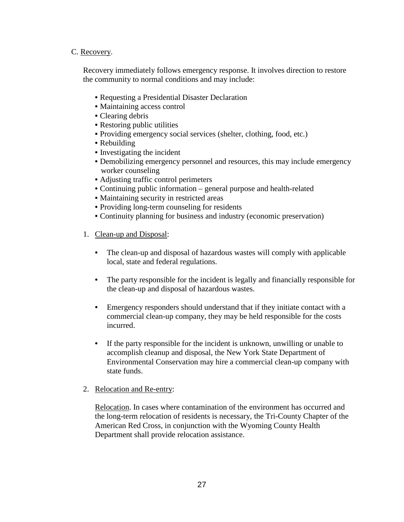# C. Recovery.

Recovery immediately follows emergency response. It involves direction to restore the community to normal conditions and may include:

- Requesting a Presidential Disaster Declaration
- Maintaining access control
- Clearing debris
- Restoring public utilities
- Providing emergency social services (shelter, clothing, food, etc.)
- Rebuilding
- Investigating the incident
- Demobilizing emergency personnel and resources, this may include emergency worker counseling
- Adjusting traffic control perimeters
- Continuing public information general purpose and health-related
- Maintaining security in restricted areas
- Providing long-term counseling for residents
- Continuity planning for business and industry (economic preservation)
- 1. Clean-up and Disposal:
	- The clean-up and disposal of hazardous wastes will comply with applicable local, state and federal regulations.
	- The party responsible for the incident is legally and financially responsible for the clean-up and disposal of hazardous wastes.
	- Emergency responders should understand that if they initiate contact with a commercial clean-up company, they may be held responsible for the costs incurred.
	- If the party responsible for the incident is unknown, unwilling or unable to accomplish cleanup and disposal, the New York State Department of Environmental Conservation may hire a commercial clean-up company with state funds.
- 2. Relocation and Re-entry:

Relocation. In cases where contamination of the environment has occurred and the long-term relocation of residents is necessary, the Tri-County Chapter of the American Red Cross, in conjunction with the Wyoming County Health Department shall provide relocation assistance.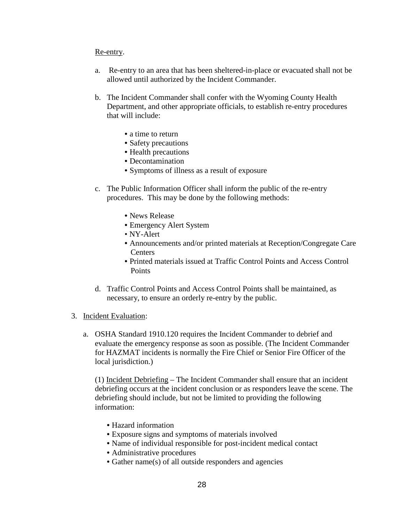#### Re-entry.

- a. Re-entry to an area that has been sheltered-in-place or evacuated shall not be allowed until authorized by the Incident Commander.
- b. The Incident Commander shall confer with the Wyoming County Health Department, and other appropriate officials, to establish re-entry procedures that will include:
	- a time to return
	- Safety precautions
	- Health precautions
	- Decontamination
	- Symptoms of illness as a result of exposure
- c. The Public Information Officer shall inform the public of the re-entry procedures. This may be done by the following methods:
	- News Release
	- Emergency Alert System
	- NY-Alert
	- Announcements and/or printed materials at Reception/Congregate Care Centers
	- Printed materials issued at Traffic Control Points and Access Control **Points**
- d. Traffic Control Points and Access Control Points shall be maintained, as necessary, to ensure an orderly re-entry by the public.
- 3. Incident Evaluation:
	- a. OSHA Standard 1910.120 requires the Incident Commander to debrief and evaluate the emergency response as soon as possible. (The Incident Commander for HAZMAT incidents is normally the Fire Chief or Senior Fire Officer of the local jurisdiction.)

(1) Incident Debriefing – The Incident Commander shall ensure that an incident debriefing occurs at the incident conclusion or as responders leave the scene. The debriefing should include, but not be limited to providing the following information:

- Hazard information
- Exposure signs and symptoms of materials involved
- Name of individual responsible for post-incident medical contact
- Administrative procedures
- Gather name(s) of all outside responders and agencies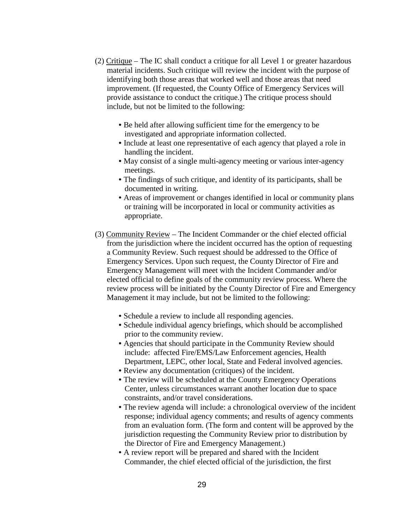- (2) Critique The IC shall conduct a critique for all Level 1 or greater hazardous material incidents. Such critique will review the incident with the purpose of identifying both those areas that worked well and those areas that need improvement. (If requested, the County Office of Emergency Services will provide assistance to conduct the critique.) The critique process should include, but not be limited to the following:
	- Be held after allowing sufficient time for the emergency to be investigated and appropriate information collected.
	- Include at least one representative of each agency that played a role in handling the incident.
	- May consist of a single multi-agency meeting or various inter-agency meetings.
	- The findings of such critique, and identity of its participants, shall be documented in writing.
	- Areas of improvement or changes identified in local or community plans or training will be incorporated in local or community activities as appropriate.
- (3) Community Review The Incident Commander or the chief elected official from the jurisdiction where the incident occurred has the option of requesting a Community Review. Such request should be addressed to the Office of Emergency Services. Upon such request, the County Director of Fire and Emergency Management will meet with the Incident Commander and/or elected official to define goals of the community review process. Where the review process will be initiated by the County Director of Fire and Emergency Management it may include, but not be limited to the following:
	- Schedule a review to include all responding agencies.
	- Schedule individual agency briefings, which should be accomplished prior to the community review.
	- Agencies that should participate in the Community Review should include: affected Fire/EMS/Law Enforcement agencies, Health Department, LEPC, other local, State and Federal involved agencies.
	- Review any documentation (critiques) of the incident.
	- The review will be scheduled at the County Emergency Operations Center, unless circumstances warrant another location due to space constraints, and/or travel considerations.
	- The review agenda will include: a chronological overview of the incident response; individual agency comments; and results of agency comments from an evaluation form. (The form and content will be approved by the jurisdiction requesting the Community Review prior to distribution by the Director of Fire and Emergency Management.)
	- A review report will be prepared and shared with the Incident Commander, the chief elected official of the jurisdiction, the first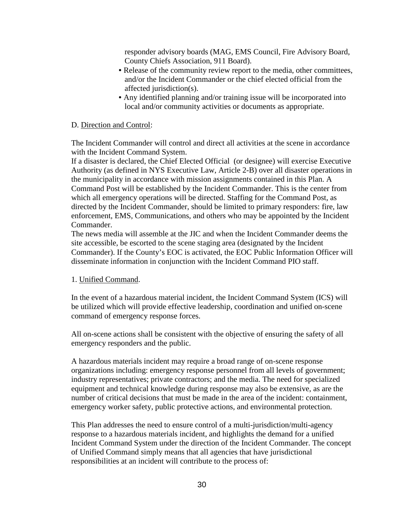responder advisory boards (MAG, EMS Council, Fire Advisory Board, County Chiefs Association, 911 Board).

- Release of the community review report to the media, other committees, and/or the Incident Commander or the chief elected official from the affected jurisdiction(s).
- Any identified planning and/or training issue will be incorporated into local and/or community activities or documents as appropriate.

# D. Direction and Control:

The Incident Commander will control and direct all activities at the scene in accordance with the Incident Command System.

If a disaster is declared, the Chief Elected Official (or designee) will exercise Executive Authority (as defined in NYS Executive Law, Article 2-B) over all disaster operations in the municipality in accordance with mission assignments contained in this Plan. A Command Post will be established by the Incident Commander. This is the center from which all emergency operations will be directed. Staffing for the Command Post, as directed by the Incident Commander, should be limited to primary responders: fire, law enforcement, EMS, Communications, and others who may be appointed by the Incident Commander.

The news media will assemble at the JIC and when the Incident Commander deems the site accessible, be escorted to the scene staging area (designated by the Incident Commander). If the County's EOC is activated, the EOC Public Information Officer will disseminate information in conjunction with the Incident Command PIO staff.

#### 1. Unified Command.

In the event of a hazardous material incident, the Incident Command System (ICS) will be utilized which will provide effective leadership, coordination and unified on-scene command of emergency response forces.

All on-scene actions shall be consistent with the objective of ensuring the safety of all emergency responders and the public.

A hazardous materials incident may require a broad range of on-scene response organizations including: emergency response personnel from all levels of government; industry representatives; private contractors; and the media. The need for specialized equipment and technical knowledge during response may also be extensive, as are the number of critical decisions that must be made in the area of the incident: containment, emergency worker safety, public protective actions, and environmental protection.

This Plan addresses the need to ensure control of a multi-jurisdiction/multi-agency response to a hazardous materials incident, and highlights the demand for a unified Incident Command System under the direction of the Incident Commander. The concept of Unified Command simply means that all agencies that have jurisdictional responsibilities at an incident will contribute to the process of: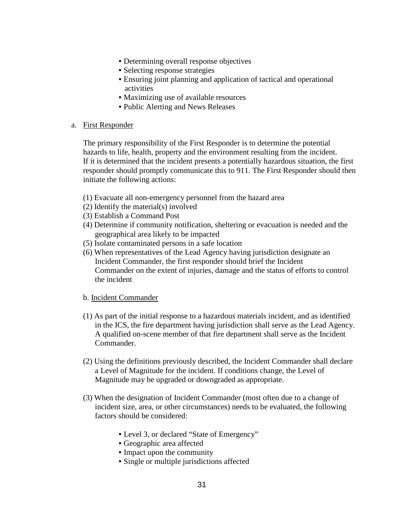- Determining overall response objectives
- Selecting response strategies
- Ensuring joint planning and application of tactical and operational activities
- Maximizing use of available resources
- Public Alerting and News Releases

# a. First Responder

The primary responsibility of the First Responder is to determine the potential hazards to life, health, property and the environment resulting from the incident. If it is determined that the incident presents a potentially hazardous situation, the first responder should promptly communicate this to 911. The First Responder should then initiate the following actions:

- (1) Evacuate all non-emergency personnel from the hazard area
- (2) Identify the material(s) involved
- (3) Establish a Command Post
- (4) Determine if community notification, sheltering or evacuation is needed and the geographical area likely to be impacted
- (5) Isolate contaminated persons in a safe location
- (6) When representatives of the Lead Agency having jurisdiction designate an Incident Commander, the first responder should brief the Incident Commander on the extent of injuries, damage and the status of efforts to control the incident

#### b. Incident Commander

- (1) As part of the initial response to a hazardous materials incident, and as identified in the ICS, the fire department having jurisdiction shall serve as the Lead Agency. A qualified on-scene member of that fire department shall serve as the Incident Commander.
- (2) Using the definitions previously described, the Incident Commander shall declare a Level of Magnitude for the incident. If conditions change, the Level of Magnitude may be upgraded or downgraded as appropriate.
- (3) When the designation of Incident Commander (most often due to a change of incident size, area, or other circumstances) needs to be evaluated, the following factors should be considered:
	- Level 3, or declared "State of Emergency"
	- Geographic area affected
	- Impact upon the community
	- Single or multiple jurisdictions affected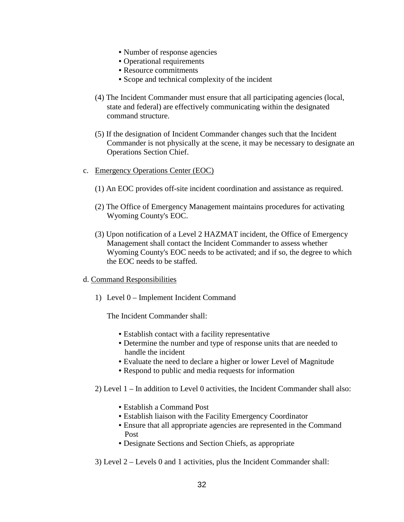- Number of response agencies
- Operational requirements
- Resource commitments
- Scope and technical complexity of the incident
- (4) The Incident Commander must ensure that all participating agencies (local, state and federal) are effectively communicating within the designated command structure.
- (5) If the designation of Incident Commander changes such that the Incident Commander is not physically at the scene, it may be necessary to designate an Operations Section Chief.
- c. Emergency Operations Center (EOC)
	- (1) An EOC provides off-site incident coordination and assistance as required.
	- (2) The Office of Emergency Management maintains procedures for activating Wyoming County's EOC.
	- (3) Upon notification of a Level 2 HAZMAT incident, the Office of Emergency Management shall contact the Incident Commander to assess whether Wyoming County's EOC needs to be activated; and if so, the degree to which the EOC needs to be staffed.
- d. Command Responsibilities
	- 1) Level 0 Implement Incident Command

The Incident Commander shall:

- Establish contact with a facility representative
- Determine the number and type of response units that are needed to handle the incident
- Evaluate the need to declare a higher or lower Level of Magnitude
- Respond to public and media requests for information
- 2) Level 1 In addition to Level 0 activities, the Incident Commander shall also:
	- Establish a Command Post
	- Establish liaison with the Facility Emergency Coordinator
	- Ensure that all appropriate agencies are represented in the Command Post
	- Designate Sections and Section Chiefs, as appropriate
- 3) Level 2 Levels 0 and 1 activities, plus the Incident Commander shall: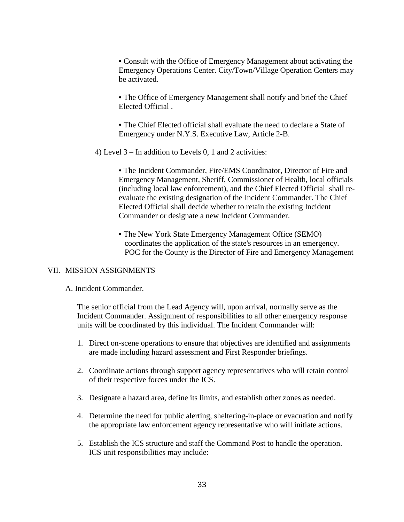• Consult with the Office of Emergency Management about activating the Emergency Operations Center. City/Town/Village Operation Centers may be activated.

• The Office of Emergency Management shall notify and brief the Chief Elected Official .

• The Chief Elected official shall evaluate the need to declare a State of Emergency under N.Y.S. Executive Law, Article 2-B.

4) Level 3 – In addition to Levels 0, 1 and 2 activities:

• The Incident Commander, Fire/EMS Coordinator, Director of Fire and Emergency Management, Sheriff, Commissioner of Health, local officials (including local law enforcement), and the Chief Elected Official shall reevaluate the existing designation of the Incident Commander. The Chief Elected Official shall decide whether to retain the existing Incident Commander or designate a new Incident Commander.

• The New York State Emergency Management Office (SEMO) coordinates the application of the state's resources in an emergency. POC for the County is the Director of Fire and Emergency Management

#### VII. MISSION ASSIGNMENTS

#### A. Incident Commander.

The senior official from the Lead Agency will, upon arrival, normally serve as the Incident Commander. Assignment of responsibilities to all other emergency response units will be coordinated by this individual. The Incident Commander will:

- 1. Direct on-scene operations to ensure that objectives are identified and assignments are made including hazard assessment and First Responder briefings.
- 2. Coordinate actions through support agency representatives who will retain control of their respective forces under the ICS.
- 3. Designate a hazard area, define its limits, and establish other zones as needed.
- 4. Determine the need for public alerting, sheltering-in-place or evacuation and notify the appropriate law enforcement agency representative who will initiate actions.
- 5. Establish the ICS structure and staff the Command Post to handle the operation. ICS unit responsibilities may include: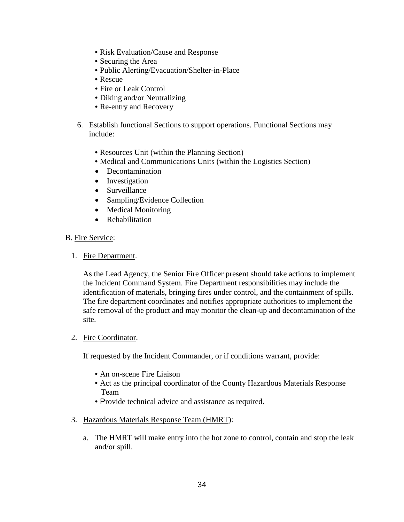- Risk Evaluation/Cause and Response
- Securing the Area
- Public Alerting/Evacuation/Shelter-in-Place
- Rescue
- Fire or Leak Control
- Diking and/or Neutralizing
- Re-entry and Recovery
- 6. Establish functional Sections to support operations. Functional Sections may include:
	- Resources Unit (within the Planning Section)
	- Medical and Communications Units (within the Logistics Section)
	- Decontamination
	- Investigation
	- Surveillance
	- Sampling/Evidence Collection
	- Medical Monitoring
	- Rehabilitation

#### B. Fire Service:

1. Fire Department.

As the Lead Agency, the Senior Fire Officer present should take actions to implement the Incident Command System. Fire Department responsibilities may include the identification of materials, bringing fires under control, and the containment of spills. The fire department coordinates and notifies appropriate authorities to implement the safe removal of the product and may monitor the clean-up and decontamination of the site.

#### 2. Fire Coordinator.

If requested by the Incident Commander, or if conditions warrant, provide:

- An on-scene Fire Liaison
- Act as the principal coordinator of the County Hazardous Materials Response Team
- Provide technical advice and assistance as required.
- 3. Hazardous Materials Response Team (HMRT):
	- a. The HMRT will make entry into the hot zone to control, contain and stop the leak and/or spill.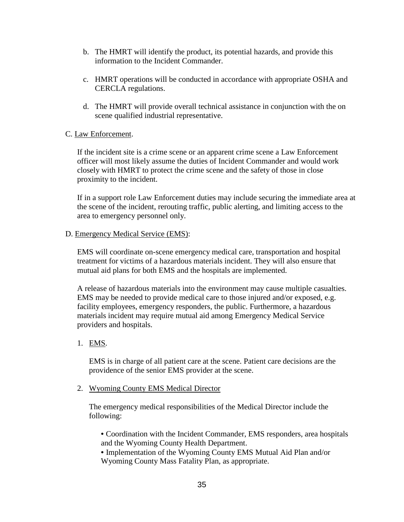- b. The HMRT will identify the product, its potential hazards, and provide this information to the Incident Commander.
- c. HMRT operations will be conducted in accordance with appropriate OSHA and CERCLA regulations.
- d. The HMRT will provide overall technical assistance in conjunction with the on scene qualified industrial representative.

# C. Law Enforcement.

If the incident site is a crime scene or an apparent crime scene a Law Enforcement officer will most likely assume the duties of Incident Commander and would work closely with HMRT to protect the crime scene and the safety of those in close proximity to the incident.

If in a support role Law Enforcement duties may include securing the immediate area at the scene of the incident, rerouting traffic, public alerting, and limiting access to the area to emergency personnel only.

#### D. Emergency Medical Service (EMS):

EMS will coordinate on-scene emergency medical care, transportation and hospital treatment for victims of a hazardous materials incident. They will also ensure that mutual aid plans for both EMS and the hospitals are implemented.

A release of hazardous materials into the environment may cause multiple casualties. EMS may be needed to provide medical care to those injured and/or exposed, e.g. facility employees, emergency responders, the public. Furthermore, a hazardous materials incident may require mutual aid among Emergency Medical Service providers and hospitals.

#### 1. EMS.

EMS is in charge of all patient care at the scene. Patient care decisions are the providence of the senior EMS provider at the scene.

#### 2. Wyoming County EMS Medical Director

The emergency medical responsibilities of the Medical Director include the following:

• Coordination with the Incident Commander, EMS responders, area hospitals and the Wyoming County Health Department.

• Implementation of the Wyoming County EMS Mutual Aid Plan and/or Wyoming County Mass Fatality Plan, as appropriate.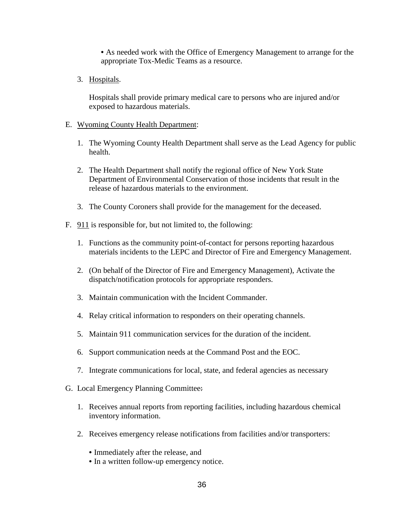• As needed work with the Office of Emergency Management to arrange for the appropriate Tox-Medic Teams as a resource.

3. Hospitals.

Hospitals shall provide primary medical care to persons who are injured and/or exposed to hazardous materials.

- E. Wyoming County Health Department:
	- 1. The Wyoming County Health Department shall serve as the Lead Agency for public health.
	- 2. The Health Department shall notify the regional office of New York State Department of Environmental Conservation of those incidents that result in the release of hazardous materials to the environment.
	- 3. The County Coroners shall provide for the management for the deceased.
- F. 911 is responsible for, but not limited to, the following:
	- 1. Functions as the community point-of-contact for persons reporting hazardous materials incidents to the LEPC and Director of Fire and Emergency Management.
	- 2. (On behalf of the Director of Fire and Emergency Management), Activate the dispatch/notification protocols for appropriate responders.
	- 3. Maintain communication with the Incident Commander.
	- 4. Relay critical information to responders on their operating channels.
	- 5. Maintain 911 communication services for the duration of the incident.
	- 6. Support communication needs at the Command Post and the EOC.
	- 7. Integrate communications for local, state, and federal agencies as necessary
- G. Local Emergency Planning Committee:
	- 1. Receives annual reports from reporting facilities, including hazardous chemical inventory information.
	- 2. Receives emergency release notifications from facilities and/or transporters:
		- Immediately after the release, and
		- In a written follow-up emergency notice.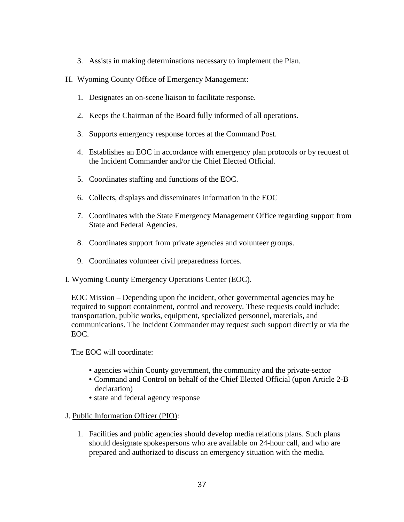3. Assists in making determinations necessary to implement the Plan.

# H. Wyoming County Office of Emergency Management:

- 1. Designates an on-scene liaison to facilitate response.
- 2. Keeps the Chairman of the Board fully informed of all operations.
- 3. Supports emergency response forces at the Command Post.
- 4. Establishes an EOC in accordance with emergency plan protocols or by request of the Incident Commander and/or the Chief Elected Official.
- 5. Coordinates staffing and functions of the EOC.
- 6. Collects, displays and disseminates information in the EOC
- 7. Coordinates with the State Emergency Management Office regarding support from State and Federal Agencies.
- 8. Coordinates support from private agencies and volunteer groups.
- 9. Coordinates volunteer civil preparedness forces.

#### I. Wyoming County Emergency Operations Center (EOC).

EOC Mission – Depending upon the incident, other governmental agencies may be required to support containment, control and recovery. These requests could include: transportation, public works, equipment, specialized personnel, materials, and communications. The Incident Commander may request such support directly or via the EOC.

The EOC will coordinate:

- agencies within County government, the community and the private-sector
- Command and Control on behalf of the Chief Elected Official (upon Article 2-B declaration)
- state and federal agency response

#### J. Public Information Officer (PIO):

1. Facilities and public agencies should develop media relations plans. Such plans should designate spokespersons who are available on 24-hour call, and who are prepared and authorized to discuss an emergency situation with the media.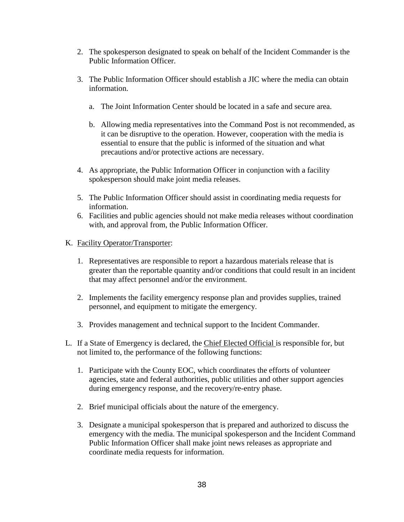- 2. The spokesperson designated to speak on behalf of the Incident Commander is the Public Information Officer.
- 3. The Public Information Officer should establish a JIC where the media can obtain information.
	- a. The Joint Information Center should be located in a safe and secure area.
	- b. Allowing media representatives into the Command Post is not recommended, as it can be disruptive to the operation. However, cooperation with the media is essential to ensure that the public is informed of the situation and what precautions and/or protective actions are necessary.
- 4. As appropriate, the Public Information Officer in conjunction with a facility spokesperson should make joint media releases.
- 5. The Public Information Officer should assist in coordinating media requests for information.
- 6. Facilities and public agencies should not make media releases without coordination with, and approval from, the Public Information Officer.
- K. Facility Operator/Transporter:
	- 1. Representatives are responsible to report a hazardous materials release that is greater than the reportable quantity and/or conditions that could result in an incident that may affect personnel and/or the environment.
	- 2. Implements the facility emergency response plan and provides supplies, trained personnel, and equipment to mitigate the emergency.
	- 3. Provides management and technical support to the Incident Commander.
- L. If a State of Emergency is declared, the Chief Elected Official is responsible for, but not limited to, the performance of the following functions:
	- 1. Participate with the County EOC, which coordinates the efforts of volunteer agencies, state and federal authorities, public utilities and other support agencies during emergency response, and the recovery/re-entry phase.
	- 2. Brief municipal officials about the nature of the emergency.
	- 3. Designate a municipal spokesperson that is prepared and authorized to discuss the emergency with the media. The municipal spokesperson and the Incident Command Public Information Officer shall make joint news releases as appropriate and coordinate media requests for information.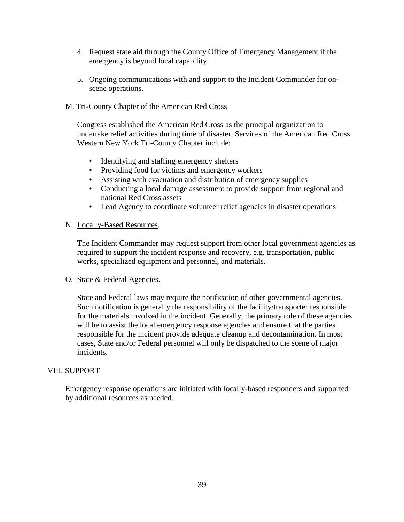- 4. Request state aid through the County Office of Emergency Management if the emergency is beyond local capability.
- 5. Ongoing communications with and support to the Incident Commander for onscene operations.

# M. Tri-County Chapter of the American Red Cross

Congress established the American Red Cross as the principal organization to undertake relief activities during time of disaster. Services of the American Red Cross Western New York Tri-County Chapter include:

- Identifying and staffing emergency shelters
- Providing food for victims and emergency workers
- Assisting with evacuation and distribution of emergency supplies
- Conducting a local damage assessment to provide support from regional and national Red Cross assets
- Lead Agency to coordinate volunteer relief agencies in disaster operations

#### N. Locally-Based Resources.

The Incident Commander may request support from other local government agencies as required to support the incident response and recovery, e.g. transportation, public works, specialized equipment and personnel, and materials.

#### O. State & Federal Agencies.

State and Federal laws may require the notification of other governmental agencies. Such notification is generally the responsibility of the facility/transporter responsible for the materials involved in the incident. Generally, the primary role of these agencies will be to assist the local emergency response agencies and ensure that the parties responsible for the incident provide adequate cleanup and decontamination. In most cases, State and/or Federal personnel will only be dispatched to the scene of major incidents.

#### VIII. SUPPORT

Emergency response operations are initiated with locally-based responders and supported by additional resources as needed.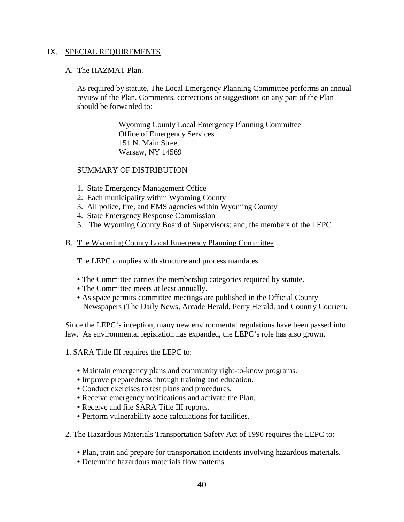#### IX. SPECIAL REQUIREMENTS

#### A. The HAZMAT Plan.

As required by statute, The Local Emergency Planning Committee performs an annual review of the Plan. Comments, corrections or suggestions on any part of the Plan should be forwarded to:

> Wyoming County Local Emergency Planning Committee Office of Emergency Services 151 N. Main Street Warsaw, NY 14569

#### SUMMARY OF DISTRIBUTION

- 1. State Emergency Management Office
- 2. Each municipality within Wyoming County
- 3. All police, fire, and EMS agencies within Wyoming County
- 4. State Emergency Response Commission
- 5. The Wyoming County Board of Supervisors; and, the members of the LEPC

#### B. The Wyoming County Local Emergency Planning Committee

The LEPC complies with structure and process mandates

- The Committee carries the membership categories required by statute.
- The Committee meets at least annually.
- As space permits committee meetings are published in the Official County Newspapers (The Daily News, Arcade Herald, Perry Herald, and Country Courier).

Since the LEPC's inception, many new environmental regulations have been passed into law. As environmental legislation has expanded, the LEPC's role has also grown.

- 1. SARA Title III requires the LEPC to:
	- Maintain emergency plans and community right-to-know programs.
	- Improve preparedness through training and education.
	- Conduct exercises to test plans and procedures.
	- Receive emergency notifications and activate the Plan.
	- Receive and file SARA Title III reports.
	- Perform vulnerability zone calculations for facilities.
- 2. The Hazardous Materials Transportation Safety Act of 1990 requires the LEPC to:
	- Plan, train and prepare for transportation incidents involving hazardous materials.
	- Determine hazardous materials flow patterns.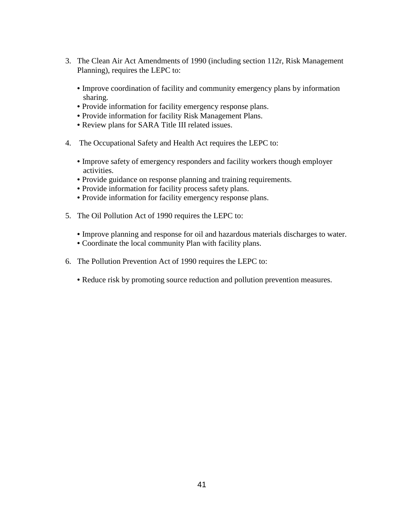- 3. The Clean Air Act Amendments of 1990 (including section 112r, Risk Management Planning), requires the LEPC to:
	- Improve coordination of facility and community emergency plans by information sharing.
	- Provide information for facility emergency response plans.
	- Provide information for facility Risk Management Plans.
	- Review plans for SARA Title III related issues.
- 4. The Occupational Safety and Health Act requires the LEPC to:
	- Improve safety of emergency responders and facility workers though employer activities.
	- Provide guidance on response planning and training requirements.
	- Provide information for facility process safety plans.
	- Provide information for facility emergency response plans.
- 5. The Oil Pollution Act of 1990 requires the LEPC to:
	- Improve planning and response for oil and hazardous materials discharges to water.
	- Coordinate the local community Plan with facility plans.
- 6. The Pollution Prevention Act of 1990 requires the LEPC to:
	- Reduce risk by promoting source reduction and pollution prevention measures.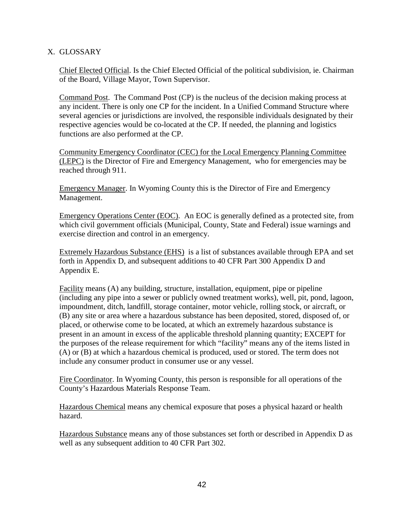# X. GLOSSARY

Chief Elected Official. Is the Chief Elected Official of the political subdivision, ie. Chairman of the Board, Village Mayor, Town Supervisor.

Command Post. The Command Post (CP) is the nucleus of the decision making process at any incident. There is only one CP for the incident. In a Unified Command Structure where several agencies or jurisdictions are involved, the responsible individuals designated by their respective agencies would be co-located at the CP. If needed, the planning and logistics functions are also performed at the CP.

Community Emergency Coordinator (CEC) for the Local Emergency Planning Committee (LEPC) is the Director of Fire and Emergency Management, who for emergencies may be reached through 911.

Emergency Manager. In Wyoming County this is the Director of Fire and Emergency Management.

Emergency Operations Center (EOC). An EOC is generally defined as a protected site, from which civil government officials (Municipal, County, State and Federal) issue warnings and exercise direction and control in an emergency.

Extremely Hazardous Substance (EHS) is a list of substances available through EPA and set forth in Appendix D, and subsequent additions to 40 CFR Part 300 Appendix D and Appendix E.

Facility means (A) any building, structure, installation, equipment, pipe or pipeline (including any pipe into a sewer or publicly owned treatment works), well, pit, pond, lagoon, impoundment, ditch, landfill, storage container, motor vehicle, rolling stock, or aircraft, or (B) any site or area where a hazardous substance has been deposited, stored, disposed of, or placed, or otherwise come to be located, at which an extremely hazardous substance is present in an amount in excess of the applicable threshold planning quantity; EXCEPT for the purposes of the release requirement for which "facility" means any of the items listed in (A) or (B) at which a hazardous chemical is produced, used or stored. The term does not include any consumer product in consumer use or any vessel.

Fire Coordinator. In Wyoming County, this person is responsible for all operations of the County's Hazardous Materials Response Team.

Hazardous Chemical means any chemical exposure that poses a physical hazard or health hazard.

Hazardous Substance means any of those substances set forth or described in Appendix D as well as any subsequent addition to 40 CFR Part 302.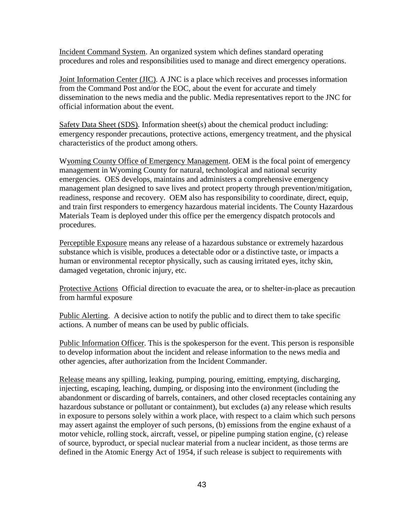Incident Command System. An organized system which defines standard operating procedures and roles and responsibilities used to manage and direct emergency operations.

Joint Information Center (JIC). A JNC is a place which receives and processes information from the Command Post and/or the EOC, about the event for accurate and timely dissemination to the news media and the public. Media representatives report to the JNC for official information about the event.

Safety Data Sheet (SDS). Information sheet(s) about the chemical product including: emergency responder precautions, protective actions, emergency treatment, and the physical characteristics of the product among others.

Wyoming County Office of Emergency Management. OEM is the focal point of emergency management in Wyoming County for natural, technological and national security emergencies. OES develops, maintains and administers a comprehensive emergency management plan designed to save lives and protect property through prevention/mitigation, readiness, response and recovery. OEM also has responsibility to coordinate, direct, equip, and train first responders to emergency hazardous material incidents. The County Hazardous Materials Team is deployed under this office per the emergency dispatch protocols and procedures.

Perceptible Exposure means any release of a hazardous substance or extremely hazardous substance which is visible, produces a detectable odor or a distinctive taste, or impacts a human or environmental receptor physically, such as causing irritated eyes, itchy skin, damaged vegetation, chronic injury, etc.

Protective Actions Official direction to evacuate the area, or to shelter-in-place as precaution from harmful exposure

Public Alerting. A decisive action to notify the public and to direct them to take specific actions. A number of means can be used by public officials.

Public Information Officer. This is the spokesperson for the event. This person is responsible to develop information about the incident and release information to the news media and other agencies, after authorization from the Incident Commander.

Release means any spilling, leaking, pumping, pouring, emitting, emptying, discharging, injecting, escaping, leaching, dumping, or disposing into the environment (including the abandonment or discarding of barrels, containers, and other closed receptacles containing any hazardous substance or pollutant or containment), but excludes (a) any release which results in exposure to persons solely within a work place, with respect to a claim which such persons may assert against the employer of such persons, (b) emissions from the engine exhaust of a motor vehicle, rolling stock, aircraft, vessel, or pipeline pumping station engine, (c) release of source, byproduct, or special nuclear material from a nuclear incident, as those terms are defined in the Atomic Energy Act of 1954, if such release is subject to requirements with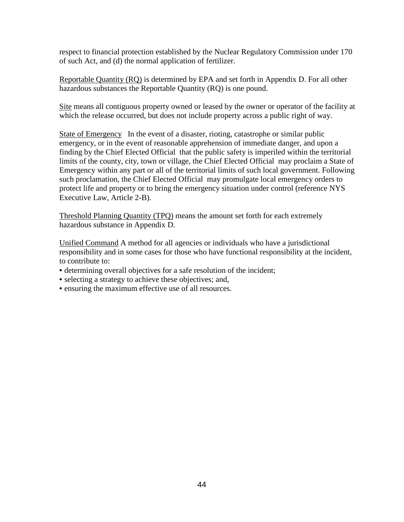respect to financial protection established by the Nuclear Regulatory Commission under 170 of such Act, and (d) the normal application of fertilizer.

Reportable Quantity (RQ) is determined by EPA and set forth in Appendix D. For all other hazardous substances the Reportable Quantity (RQ) is one pound.

Site means all contiguous property owned or leased by the owner or operator of the facility at which the release occurred, but does not include property across a public right of way.

State of Emergency In the event of a disaster, rioting, catastrophe or similar public emergency, or in the event of reasonable apprehension of immediate danger, and upon a finding by the Chief Elected Official that the public safety is imperiled within the territorial limits of the county, city, town or village, the Chief Elected Official may proclaim a State of Emergency within any part or all of the territorial limits of such local government. Following such proclamation, the Chief Elected Official may promulgate local emergency orders to protect life and property or to bring the emergency situation under control (reference NYS Executive Law, Article 2-B).

Threshold Planning Quantity (TPQ) means the amount set forth for each extremely hazardous substance in Appendix D.

Unified Command A method for all agencies or individuals who have a jurisdictional responsibility and in some cases for those who have functional responsibility at the incident, to contribute to:

- determining overall objectives for a safe resolution of the incident;
- selecting a strategy to achieve these objectives; and,
- ensuring the maximum effective use of all resources.